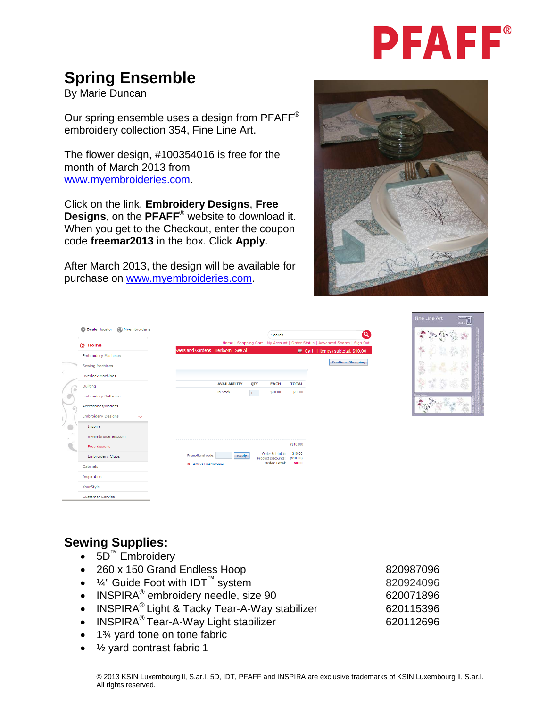

## **Spring Ensemble**

By Marie Duncan

Our spring ensemble uses a design from PFAFF® embroidery collection 354, Fine Line Art.

The flower design, #100354016 is free for the month of March 2013 from [www.myembroideries.com.](http://www.myembroideries.com/)

Click on the link, **Embroidery Designs**, **Free Designs**, on the **PFAFF®** website to download it. When you get to the Checkout, enter the coupon code **freemar2013** in the box. Click **Apply**.

After March 2013, the design will be available for purchase on [www.myembroideries.com.](http://www.myembroideries.com/)



|                            |                                   |                     |              |     | Search                                                                        |                                   |  |
|----------------------------|-----------------------------------|---------------------|--------------|-----|-------------------------------------------------------------------------------|-----------------------------------|--|
| ∩ Home                     |                                   |                     |              |     | Home   Shopping Cart   My Account   Order Status   Advanced Search   Sign Out |                                   |  |
| <b>Embroidery Machines</b> | wers and Gardens Heirloom See All |                     |              |     |                                                                               | Cart: 1 item(s) subtotal: \$10.00 |  |
| Sewing Machines            |                                   |                     |              |     |                                                                               |                                   |  |
| <b>Overlock Machines</b>   |                                   |                     |              |     |                                                                               |                                   |  |
| Ouilting                   |                                   | <b>AVAILABILITY</b> |              | QTY | <b>EACH</b>                                                                   | <b>TOTAL</b>                      |  |
| <b>Embroidery Software</b> |                                   | <b>In-Stock</b>     | $\mathbf{1}$ |     | \$10.00                                                                       | \$10.00                           |  |
| Accessories/Notions        |                                   |                     |              |     |                                                                               |                                   |  |
| <b>Embroidery Designs</b>  |                                   |                     |              |     |                                                                               |                                   |  |
| Inspira                    |                                   |                     |              |     |                                                                               |                                   |  |
| myembroideries.com         |                                   |                     |              |     |                                                                               |                                   |  |
| Free designs               |                                   |                     |              |     |                                                                               | (S10.00)                          |  |
| <b>Embroidery Clubs</b>    | Promotional code:                 |                     | <b>Apply</b> |     | Order Subtotal:<br>Product Discounts:                                         | \$10.00<br>( \$10.00)             |  |
| Cabinets                   | <b>X</b> Remove FreeNOV2012       |                     |              |     | <b>Order Total:</b>                                                           | \$0.00                            |  |
| Inspiration                |                                   |                     |              |     |                                                                               |                                   |  |
| YourStyle                  |                                   |                     |              |     |                                                                               |                                   |  |
| Customer Service           |                                   |                     |              |     |                                                                               |                                   |  |



### **Sewing Supplies:**

- 5D™ Embroidery
- 260 x 150 Grand Endless Hoop 820987096
- ¼" Guide Foot with IDT<sup>™</sup> system 820924096
- INSPIRA<sup>®</sup> embroidery needle, size  $90$  620071896
- INSPIRA<sup>®</sup> Light & Tacky Tear-A-Way stabilizer 620115396
- INSPIRA<sup>®</sup> Tear-A-Way Light stabilizer  $620112696$
- 1<sup>3</sup>/<sub>4</sub> yard tone on tone fabric
- ½ yard contrast fabric 1
- 
-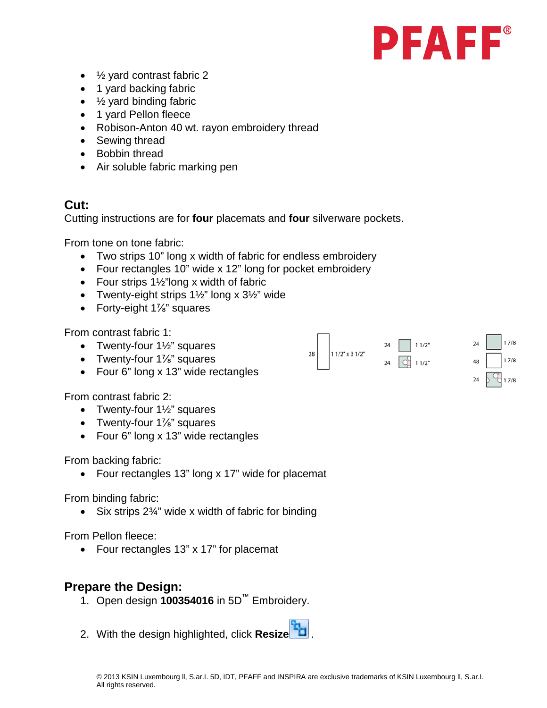

- ½ yard contrast fabric 2
- 1 yard backing fabric
- $\bullet$   $\frac{1}{2}$  yard binding fabric
- 1 yard Pellon fleece
- Robison-Anton 40 wt. rayon embroidery thread
- Sewing thread
- Bobbin thread
- Air soluble fabric marking pen

#### **Cut:**

Cutting instructions are for **four** placemats and **four** silverware pockets.

From tone on tone fabric:

- Two strips 10" long x width of fabric for endless embroidery
- Four rectangles 10" wide x 12" long for pocket embroidery
- Four strips 1½"long x width of fabric
- Twenty-eight strips  $1\frac{1}{2}$ " long x  $3\frac{1}{2}$ " wide
- Forty-eight 1<sup>%</sup> squares

From contrast fabric 1:

- Twenty-four 1½" squares
- Twenty-four 1<sup>7/8"</sup> squares
- Four 6" long x 13" wide rectangles

From contrast fabric 2:

- Twenty-four 1½" squares
- Twenty-four 1<sup>7/8"</sup> squares
- Four 6" long x 13" wide rectangles

From backing fabric:

• Four rectangles 13" long x 17" wide for placemat

From binding fabric:

• Six strips 2<sup>3</sup>%<sup>"</sup> wide x width of fabric for binding

From Pellon fleece:

• Four rectangles 13" x 17" for placemat

#### **Prepare the Design:**

- 1. Open design **100354016** in 5D™ Embroidery.
- 2. With the design highlighted, click **Resize**



 $11/2$ " x 3 1/2"

 $17/8$ 

 $17/8$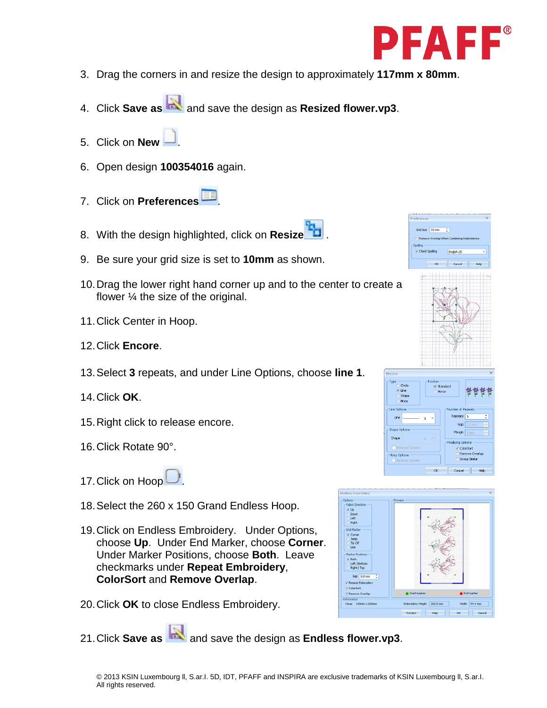

 $id$  Size  $10$  mm  $2$ 

- 3. Drag the corners in and resize the design to approximately **117mm x 80mm**.
- 4. Click **Save as** and save the design as **Resized flower.vp3**.
- 5. Click on **New** .
- 6. Open design **100354016** again.
- 7. Click on **Preferences** .
- 8. With the design highlighted, click on **Resize**
- 9. Be sure your grid size is set to **10mm** as shown.
- 10.Drag the lower right hand corner up and to the center to create a flower ¼ the size of the original.
- 11.Click Center in Hoop.
- 12.Click **Encore**.
- 13.Select **3** repeats, and under Line Options, choose **line 1**.
- 14.Click **OK**.
- 15.Right click to release encore.
- 16.Click Rotate 90°.
- 17. Click on Hoop
- 18.Select the 260 x 150 Grand Endless Hoop.
- 19.Click on Endless Embroidery. Under Options, choose **Up**. Under End Marker, choose **Corner**. Under Marker Positions, choose **Both**. Leave checkmarks under **Repeat Embroidery**, **ColorSort** and **Remove Overlap**.
- Down<br>Left<br>Right kmp<br>Tie Off<br>Line Left / Botto<br>Right / Top --<br>150mm x 260mm  $R = 202.0$  mm

Circl

Sha

Shan

**Vilage Embroyler** 

**Hoop Options** 

Standard

ColorSort

**Group Simile** Cancel

- 20.Click **OK** to close Endless Embroidery.
- 21.Click **Save as** and save the design as **Endless flower.vp3**.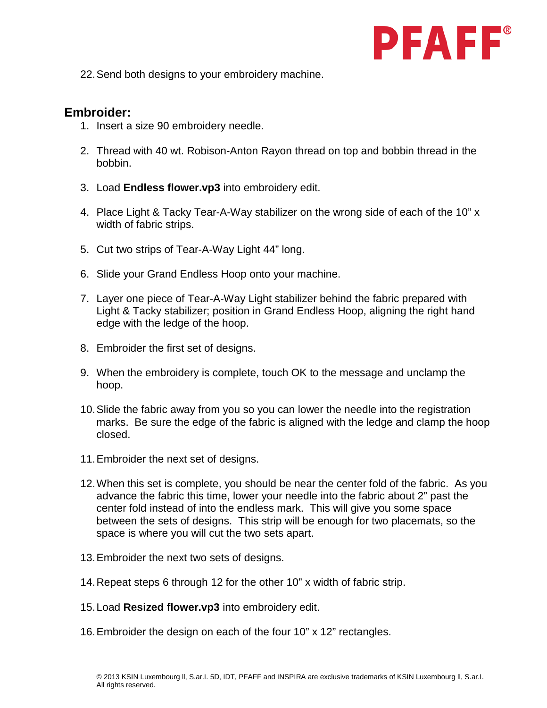

22.Send both designs to your embroidery machine.

#### **Embroider:**

- 1. Insert a size 90 embroidery needle.
- 2. Thread with 40 wt. Robison-Anton Rayon thread on top and bobbin thread in the bobbin.
- 3. Load **Endless flower.vp3** into embroidery edit.
- 4. Place Light & Tacky Tear-A-Way stabilizer on the wrong side of each of the 10" x width of fabric strips.
- 5. Cut two strips of Tear-A-Way Light 44" long.
- 6. Slide your Grand Endless Hoop onto your machine.
- 7. Layer one piece of Tear-A-Way Light stabilizer behind the fabric prepared with Light & Tacky stabilizer; position in Grand Endless Hoop, aligning the right hand edge with the ledge of the hoop.
- 8. Embroider the first set of designs.
- 9. When the embroidery is complete, touch OK to the message and unclamp the hoop.
- 10.Slide the fabric away from you so you can lower the needle into the registration marks. Be sure the edge of the fabric is aligned with the ledge and clamp the hoop closed.
- 11.Embroider the next set of designs.
- 12.When this set is complete, you should be near the center fold of the fabric. As you advance the fabric this time, lower your needle into the fabric about 2" past the center fold instead of into the endless mark. This will give you some space between the sets of designs. This strip will be enough for two placemats, so the space is where you will cut the two sets apart.
- 13.Embroider the next two sets of designs.
- 14.Repeat steps 6 through 12 for the other 10" x width of fabric strip.
- 15.Load **Resized flower.vp3** into embroidery edit.
- 16.Embroider the design on each of the four 10" x 12" rectangles.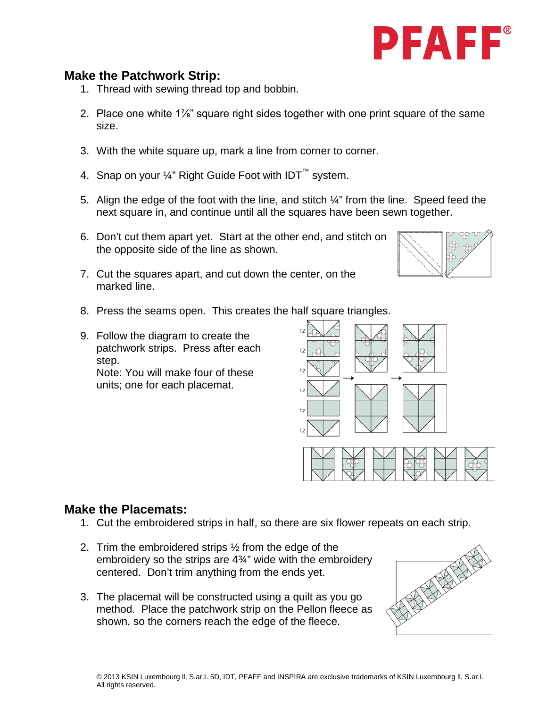

6. Don't cut them apart yet. Start at the other end, and stitch on the opposite side of the line as shown.

3. With the white square up, mark a line from corner to corner.

4. Snap on your  $\frac{1}{4}$ " Right Guide Foot with IDT<sup>™</sup> system.

2. Place one white 1⅞" square right sides together with one print square of the same

- 7. Cut the squares apart, and cut down the center, on the marked line.
- 8. Press the seams open. This creates the half square triangles.
- 9. Follow the diagram to create the patchwork strips. Press after each step.

**Make the Patchwork Strip:**

size.

1. Thread with sewing thread top and bobbin.

Note: You will make four of these units; one for each placemat.



#### **Make the Placemats:**

- 1. Cut the embroidered strips in half, so there are six flower repeats on each strip.
- 2. Trim the embroidered strips ½ from the edge of the embroidery so the strips are 4¾" wide with the embroidery centered. Don't trim anything from the ends yet.
- 3. The placemat will be constructed using a quilt as you go method. Place the patchwork strip on the Pellon fleece as shown, so the corners reach the edge of the fleece.

# PFAFF®

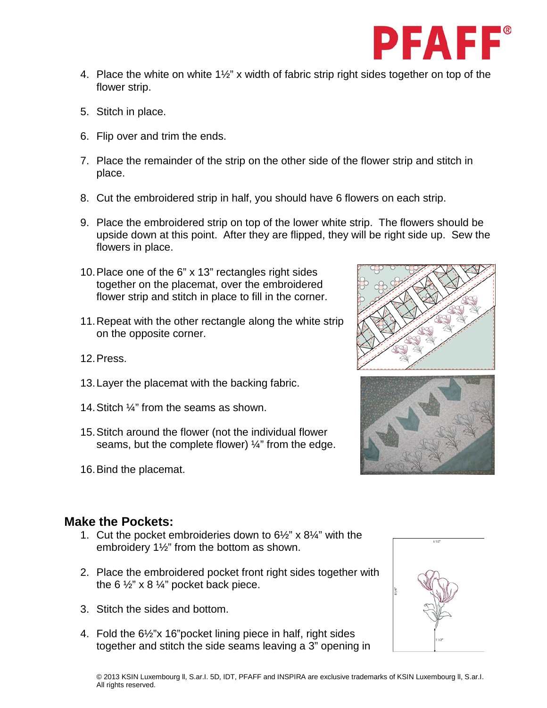

- 4. Place the white on white 1½" x width of fabric strip right sides together on top of the flower strip.
- 5. Stitch in place.
- 6. Flip over and trim the ends.
- 7. Place the remainder of the strip on the other side of the flower strip and stitch in place.
- 8. Cut the embroidered strip in half, you should have 6 flowers on each strip.
- 9. Place the embroidered strip on top of the lower white strip. The flowers should be upside down at this point. After they are flipped, they will be right side up. Sew the flowers in place.
- 10.Place one of the 6" x 13" rectangles right sides together on the placemat, over the embroidered flower strip and stitch in place to fill in the corner.
- 11.Repeat with the other rectangle along the white strip on the opposite corner.
- 12.Press.
- 13.Layer the placemat with the backing fabric.
- 14.Stitch ¼" from the seams as shown.
- 15.Stitch around the flower (not the individual flower seams, but the complete flower)  $\frac{1}{4}$ " from the edge.
- 16.Bind the placemat.





#### **Make the Pockets:**

- 1. Cut the pocket embroideries down to 6½" x 8¼" with the embroidery 1½" from the bottom as shown.
- 2. Place the embroidered pocket front right sides together with the 6  $\frac{1}{2}$ " x 8  $\frac{1}{4}$ " pocket back piece.
- 3. Stitch the sides and bottom.
- 4. Fold the 6½"x 16"pocket lining piece in half, right sides together and stitch the side seams leaving a 3" opening in